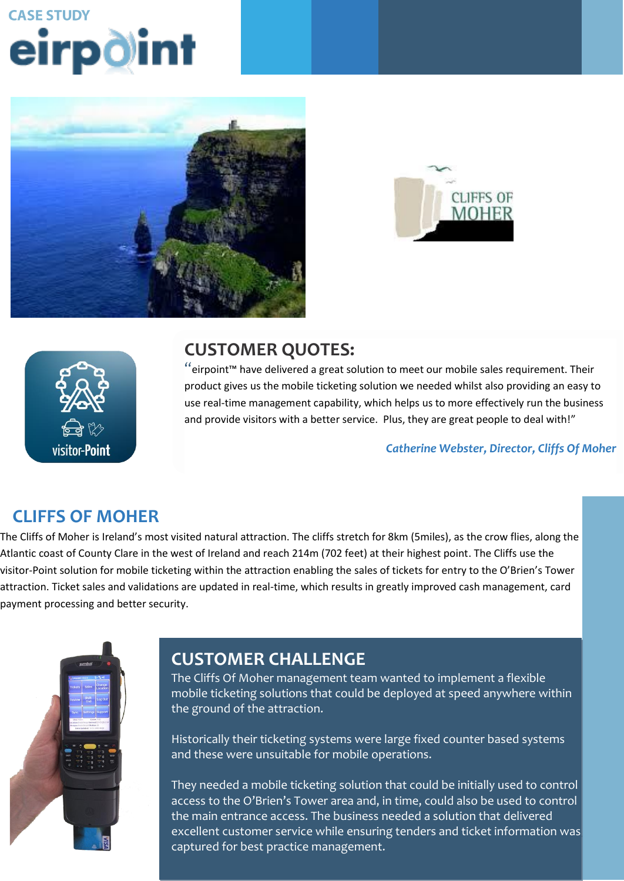# **CASE STUDY** eirpdint







# **CUSTOMER QUOTES:**

"eirpoint™ have delivered a great solution to meet our mobile sales requirement. Their product gives us the mobile ticketing solution we needed whilst also providing an easy to use real-time management capability, which helps us to more effectively run the business and provide visitors with a better service. Plus, they are great people to deal with!"

*Catherine Webster, Director, Cliffs Of Moher*

## **CLIFFS OF MOHER**

**CLILICI CLILICI THE**<br>The Cliffs of Moher is Ireland's most visited natural attraction. The cliffs stretch for 8km (5miles), as the crow flies, along the Atlantic coast of County Clare in the west of Ireland and reach 214m (702 feet) at their highest point. The Cliffs use the have operations store operations solution that is dependent operation. The operation store  $\epsilon$ service and support provider that would have the knowledge and expertise visitor-Point solution for mobile ticketing within the attraction enabling the sales of tickets for entry to the O'Brien's Tower attraction. Ticket sales and validations are updated in real-time, which results in greatly improved cash management, card based on best practice retail operations. payment processing and better security.



#### **ORDERING AND STOCK CONTROL. STOCK ORDERING IS THE IMPORTANT LINK THAT EXISTS IS THE IMPORTANT LINK THAT EXISTS IS THE IMPORTANT LINK THAT EXISTS IS THE IMPORTANT LINK THAT EXISTS IS THE IMPORTANT LINK THAT EXISTS IS THE I** between the retailer and Musgrave; it is the initiation of a transaction within

The Cliffs Of Moher management team wanted to implement a flexible mobile ticketing solutions that could be deployed at speed anywhere within the ground of the attraction. That decision using a handheld  $\alpha$  handheld  $\alpha$ 

They wished to mobilise two key aspects of in-store retail operations, stock

Historically their ticketing systems were large fixed counter based systems and these were unsuitable for mobile operations.

They needed a mobile ticketing solution that could be initially used to control access to the O'Brien's Tower area and, in time, could also be used to control the main entrance access. The business needed a solution that delivered excellent customer service while ensuring tenders and ticket information was captured for best practice management.